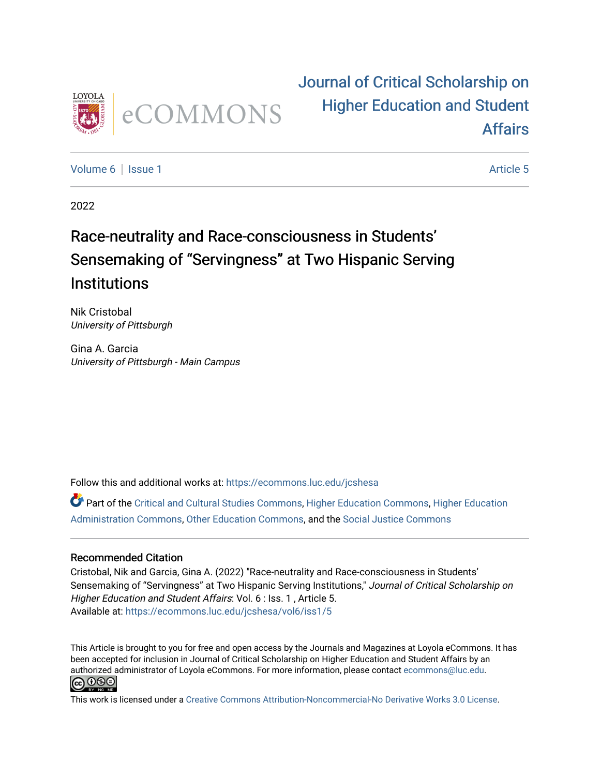

# [Journal of Critical Scholarship on](https://ecommons.luc.edu/jcshesa)  [Higher Education and Student](https://ecommons.luc.edu/jcshesa)  [Affairs](https://ecommons.luc.edu/jcshesa)

[Volume 6](https://ecommons.luc.edu/jcshesa/vol6) | [Issue 1](https://ecommons.luc.edu/jcshesa/vol6/iss1) Article 5

2022

# Race-neutrality and Race-consciousness in Students' Sensemaking of "Servingness" at Two Hispanic Serving **Institutions**

Nik Cristobal University of Pittsburgh

Gina A. Garcia University of Pittsburgh - Main Campus

Follow this and additional works at: [https://ecommons.luc.edu/jcshesa](https://ecommons.luc.edu/jcshesa?utm_source=ecommons.luc.edu%2Fjcshesa%2Fvol6%2Fiss1%2F5&utm_medium=PDF&utm_campaign=PDFCoverPages) 

Part of the [Critical and Cultural Studies Commons](https://network.bepress.com/hgg/discipline/328?utm_source=ecommons.luc.edu%2Fjcshesa%2Fvol6%2Fiss1%2F5&utm_medium=PDF&utm_campaign=PDFCoverPages), [Higher Education Commons,](https://network.bepress.com/hgg/discipline/1245?utm_source=ecommons.luc.edu%2Fjcshesa%2Fvol6%2Fiss1%2F5&utm_medium=PDF&utm_campaign=PDFCoverPages) [Higher Education](https://network.bepress.com/hgg/discipline/791?utm_source=ecommons.luc.edu%2Fjcshesa%2Fvol6%2Fiss1%2F5&utm_medium=PDF&utm_campaign=PDFCoverPages) [Administration Commons,](https://network.bepress.com/hgg/discipline/791?utm_source=ecommons.luc.edu%2Fjcshesa%2Fvol6%2Fiss1%2F5&utm_medium=PDF&utm_campaign=PDFCoverPages) [Other Education Commons](https://network.bepress.com/hgg/discipline/811?utm_source=ecommons.luc.edu%2Fjcshesa%2Fvol6%2Fiss1%2F5&utm_medium=PDF&utm_campaign=PDFCoverPages), and the [Social Justice Commons](https://network.bepress.com/hgg/discipline/1432?utm_source=ecommons.luc.edu%2Fjcshesa%2Fvol6%2Fiss1%2F5&utm_medium=PDF&utm_campaign=PDFCoverPages) 

# Recommended Citation

Cristobal, Nik and Garcia, Gina A. (2022) "Race-neutrality and Race-consciousness in Students' Sensemaking of "Servingness" at Two Hispanic Serving Institutions," Journal of Critical Scholarship on Higher Education and Student Affairs: Vol. 6 : Iss. 1, Article 5. Available at: [https://ecommons.luc.edu/jcshesa/vol6/iss1/5](https://ecommons.luc.edu/jcshesa/vol6/iss1/5?utm_source=ecommons.luc.edu%2Fjcshesa%2Fvol6%2Fiss1%2F5&utm_medium=PDF&utm_campaign=PDFCoverPages) 

This Article is brought to you for free and open access by the Journals and Magazines at Loyola eCommons. It has been accepted for inclusion in Journal of Critical Scholarship on Higher Education and Student Affairs by an authorized administrator of Loyola eCommons. For more information, please contact [ecommons@luc.edu](mailto:ecommons@luc.edu). **@** 0ெ

This work is licensed under a [Creative Commons Attribution-Noncommercial-No Derivative Works 3.0 License.](https://creativecommons.org/licenses/by-nc-nd/3.0/)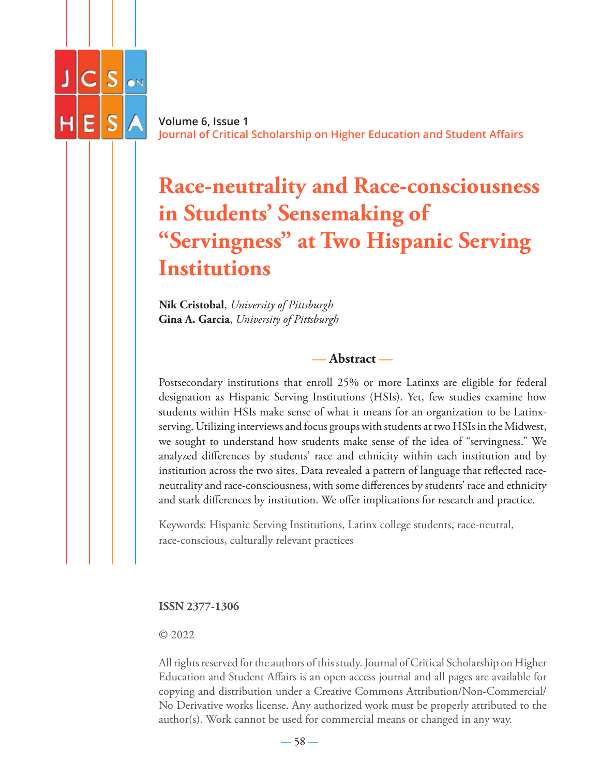

**Volume 6, Issue 1 Journal of Critical Scholarship on Higher Education and Student Affairs**

# **Race-neutrality and Race-consciousness in Students' Sensemaking of "Servingness" at Two Hispanic Serving Institutions**

**Nik Cristobal**, *University of Pittsburgh* **Gina A. Garcia**, *University of Pittsburgh*

**— Abstract —**

Postsecondary institutions that enroll 25% or more Latinxs are eligible for federal designation as Hispanic Serving Institutions (HSIs). Yet, few studies examine how students within HSIs make sense of what it means for an organization to be Latinxserving. Utilizing interviews and focus groups with students at two HSIs in the Midwest, we sought to understand how students make sense of the idea of "servingness." We analyzed differences by students' race and ethnicity within each institution and by institution across the two sites. Data revealed a pattern of language that reflected raceneutrality and race-consciousness, with some differences by students' race and ethnicity and stark differences by institution. We offer implications for research and practice.

Keywords: Hispanic Serving Institutions, Latinx college students, race-neutral, race-conscious, culturally relevant practices

**ISSN 2377-1306**

#### © 2022

All rights reserved for the authors of this study. Journal of Critical Scholarship on Higher Education and Student Affairs is an open access journal and all pages are available for copying and distribution under a Creative Commons Attribution/Non-Commercial/ No Derivative works license. Any authorized work must be properly attributed to the author(s). Work cannot be used for commercial means or changed in any way.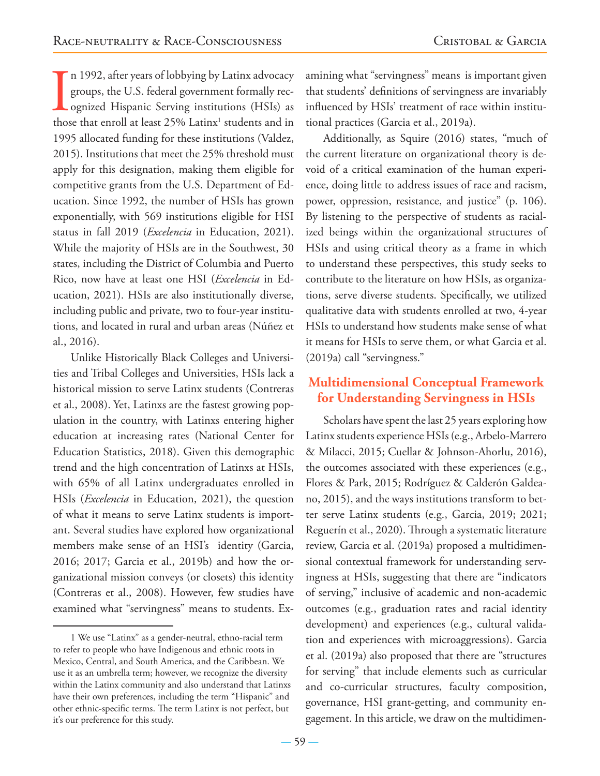In 1992, after years of lobbying by Latinx advocacy<br>groups, the U.S. federal government formally rec-<br>ognized Hispanic Serving institutions (HSIs) as<br>those that enroll at least 25% Latinx<sup>1</sup> students and in n 1992, after years of lobbying by Latinx advocacy groups, the U.S. federal government formally recognized Hispanic Serving institutions (HSIs) as 1995 allocated funding for these institutions (Valdez, 2015). Institutions that meet the 25% threshold must apply for this designation, making them eligible for competitive grants from the U.S. Department of Education. Since 1992, the number of HSIs has grown exponentially, with 569 institutions eligible for HSI status in fall 2019 (*Excelencia* in Education, 2021). While the majority of HSIs are in the Southwest, 30 states, including the District of Columbia and Puerto Rico, now have at least one HSI (*Excelencia* in Education, 2021). HSIs are also institutionally diverse, including public and private, two to four-year institutions, and located in rural and urban areas (Núñez et al., 2016).

Unlike Historically Black Colleges and Universities and Tribal Colleges and Universities, HSIs lack a historical mission to serve Latinx students (Contreras et al., 2008). Yet, Latinxs are the fastest growing population in the country, with Latinxs entering higher education at increasing rates (National Center for Education Statistics, 2018). Given this demographic trend and the high concentration of Latinxs at HSIs, with 65% of all Latinx undergraduates enrolled in HSIs (*Excelencia* in Education, 2021), the question of what it means to serve Latinx students is important. Several studies have explored how organizational members make sense of an HSI's identity (Garcia, 2016; 2017; Garcia et al., 2019b) and how the organizational mission conveys (or closets) this identity (Contreras et al., 2008). However, few studies have examined what "servingness" means to students. Examining what "servingness" means is important given that students' definitions of servingness are invariably influenced by HSIs' treatment of race within institutional practices (Garcia et al., 2019a).

Additionally, as Squire (2016) states, "much of the current literature on organizational theory is devoid of a critical examination of the human experience, doing little to address issues of race and racism, power, oppression, resistance, and justice" (p. 106). By listening to the perspective of students as racialized beings within the organizational structures of HSIs and using critical theory as a frame in which to understand these perspectives, this study seeks to contribute to the literature on how HSIs, as organizations, serve diverse students. Specifically, we utilized qualitative data with students enrolled at two, 4-year HSIs to understand how students make sense of what it means for HSIs to serve them, or what Garcia et al. (2019a) call "servingness."

# **Multidimensional Conceptual Framework for Understanding Servingness in HSIs**

Scholars have spent the last 25 years exploring how Latinx students experience HSIs (e.g., Arbelo-Marrero & Milacci, 2015; Cuellar & Johnson-Ahorlu, 2016), the outcomes associated with these experiences (e.g., Flores & Park, 2015; Rodríguez & Calderón Galdeano, 2015), and the ways institutions transform to better serve Latinx students (e.g., Garcia, 2019; 2021; Reguerín et al., 2020). Through a systematic literature review, Garcia et al. (2019a) proposed a multidimensional contextual framework for understanding servingness at HSIs, suggesting that there are "indicators of serving," inclusive of academic and non-academic outcomes (e.g., graduation rates and racial identity development) and experiences (e.g., cultural validation and experiences with microaggressions). Garcia et al. (2019a) also proposed that there are "structures for serving" that include elements such as curricular and co-curricular structures, faculty composition, governance, HSI grant-getting, and community engagement. In this article, we draw on the multidimen-

<sup>1</sup> We use "Latinx" as a gender-neutral, ethno-racial term to refer to people who have Indigenous and ethnic roots in Mexico, Central, and South America, and the Caribbean. We use it as an umbrella term; however, we recognize the diversity within the Latinx community and also understand that Latinxs have their own preferences, including the term "Hispanic" and other ethnic-specific terms. The term Latinx is not perfect, but it's our preference for this study.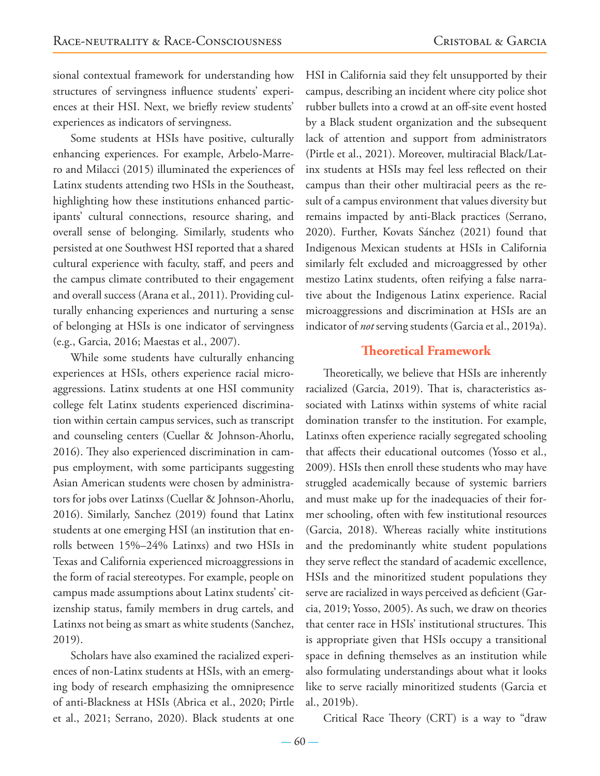sional contextual framework for understanding how structures of servingness influence students' experiences at their HSI. Next, we briefly review students' experiences as indicators of servingness.

Some students at HSIs have positive, culturally enhancing experiences. For example, Arbelo-Marrero and Milacci (2015) illuminated the experiences of Latinx students attending two HSIs in the Southeast, highlighting how these institutions enhanced participants' cultural connections, resource sharing, and overall sense of belonging. Similarly, students who persisted at one Southwest HSI reported that a shared cultural experience with faculty, staff, and peers and the campus climate contributed to their engagement and overall success (Arana et al., 2011). Providing culturally enhancing experiences and nurturing a sense of belonging at HSIs is one indicator of servingness (e.g., Garcia, 2016; Maestas et al., 2007).

While some students have culturally enhancing experiences at HSIs, others experience racial microaggressions. Latinx students at one HSI community college felt Latinx students experienced discrimination within certain campus services, such as transcript and counseling centers (Cuellar & Johnson-Ahorlu, 2016). They also experienced discrimination in campus employment, with some participants suggesting Asian American students were chosen by administrators for jobs over Latinxs (Cuellar & Johnson-Ahorlu, 2016). Similarly, Sanchez (2019) found that Latinx students at one emerging HSI (an institution that enrolls between 15%–24% Latinxs) and two HSIs in Texas and California experienced microaggressions in the form of racial stereotypes. For example, people on campus made assumptions about Latinx students' citizenship status, family members in drug cartels, and Latinxs not being as smart as white students (Sanchez, 2019).

Scholars have also examined the racialized experiences of non-Latinx students at HSIs, with an emerging body of research emphasizing the omnipresence of anti-Blackness at HSIs (Abrica et al., 2020; Pirtle et al., 2021; Serrano, 2020). Black students at one

HSI in California said they felt unsupported by their campus, describing an incident where city police shot rubber bullets into a crowd at an off-site event hosted by a Black student organization and the subsequent lack of attention and support from administrators (Pirtle et al., 2021). Moreover, multiracial Black/Latinx students at HSIs may feel less reflected on their campus than their other multiracial peers as the result of a campus environment that values diversity but remains impacted by anti-Black practices (Serrano, 2020). Further, Kovats Sánchez (2021) found that Indigenous Mexican students at HSIs in California similarly felt excluded and microaggressed by other mestizo Latinx students, often reifying a false narrative about the Indigenous Latinx experience. Racial microaggressions and discrimination at HSIs are an indicator of *not* serving students (Garcia et al., 2019a).

# **Theoretical Framework**

Theoretically, we believe that HSIs are inherently racialized (Garcia, 2019). That is, characteristics associated with Latinxs within systems of white racial domination transfer to the institution. For example, Latinxs often experience racially segregated schooling that affects their educational outcomes (Yosso et al., 2009). HSIs then enroll these students who may have struggled academically because of systemic barriers and must make up for the inadequacies of their former schooling, often with few institutional resources (Garcia, 2018). Whereas racially white institutions and the predominantly white student populations they serve reflect the standard of academic excellence, HSIs and the minoritized student populations they serve are racialized in ways perceived as deficient (Garcia, 2019; Yosso, 2005). As such, we draw on theories that center race in HSIs' institutional structures. This is appropriate given that HSIs occupy a transitional space in defining themselves as an institution while also formulating understandings about what it looks like to serve racially minoritized students (Garcia et al., 2019b).

Critical Race Theory (CRT) is a way to "draw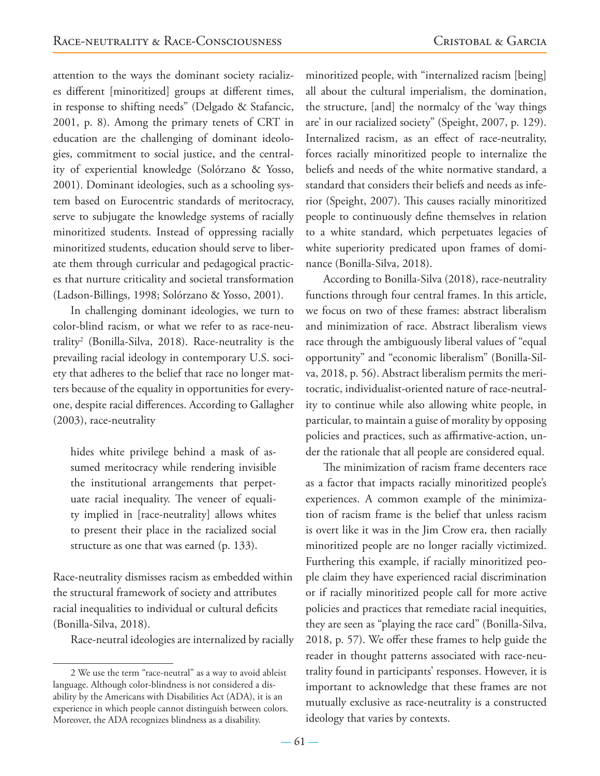attention to the ways the dominant society racializes different [minoritized] groups at different times, in response to shifting needs" (Delgado & Stafancic, 2001, p. 8). Among the primary tenets of CRT in education are the challenging of dominant ideologies, commitment to social justice, and the centrality of experiential knowledge (Solórzano & Yosso, 2001). Dominant ideologies, such as a schooling system based on Eurocentric standards of meritocracy, serve to subjugate the knowledge systems of racially minoritized students. Instead of oppressing racially minoritized students, education should serve to liberate them through curricular and pedagogical practices that nurture criticality and societal transformation (Ladson-Billings, 1998; Solórzano & Yosso, 2001).

In challenging dominant ideologies, we turn to color-blind racism, or what we refer to as race-neutrality2 (Bonilla-Silva, 2018). Race-neutrality is the prevailing racial ideology in contemporary U.S. society that adheres to the belief that race no longer matters because of the equality in opportunities for everyone, despite racial differences. According to Gallagher (2003), race-neutrality

hides white privilege behind a mask of assumed meritocracy while rendering invisible the institutional arrangements that perpetuate racial inequality. The veneer of equality implied in [race-neutrality] allows whites to present their place in the racialized social structure as one that was earned (p. 133).

Race-neutrality dismisses racism as embedded within the structural framework of society and attributes racial inequalities to individual or cultural deficits (Bonilla-Silva, 2018).

Race-neutral ideologies are internalized by racially

minoritized people, with "internalized racism [being] all about the cultural imperialism, the domination, the structure, [and] the normalcy of the 'way things are' in our racialized society" (Speight, 2007, p. 129). Internalized racism, as an effect of race-neutrality, forces racially minoritized people to internalize the beliefs and needs of the white normative standard, a standard that considers their beliefs and needs as inferior (Speight, 2007). This causes racially minoritized people to continuously define themselves in relation to a white standard, which perpetuates legacies of white superiority predicated upon frames of dominance (Bonilla-Silva, 2018).

According to Bonilla-Silva (2018), race-neutrality functions through four central frames. In this article, we focus on two of these frames: abstract liberalism and minimization of race. Abstract liberalism views race through the ambiguously liberal values of "equal opportunity" and "economic liberalism" (Bonilla-Silva, 2018, p. 56). Abstract liberalism permits the meritocratic, individualist-oriented nature of race-neutrality to continue while also allowing white people, in particular, to maintain a guise of morality by opposing policies and practices, such as affirmative-action, under the rationale that all people are considered equal.

The minimization of racism frame decenters race as a factor that impacts racially minoritized people's experiences. A common example of the minimization of racism frame is the belief that unless racism is overt like it was in the Jim Crow era, then racially minoritized people are no longer racially victimized. Furthering this example, if racially minoritized people claim they have experienced racial discrimination or if racially minoritized people call for more active policies and practices that remediate racial inequities, they are seen as "playing the race card" (Bonilla-Silva, 2018, p. 57). We offer these frames to help guide the reader in thought patterns associated with race-neutrality found in participants' responses. However, it is important to acknowledge that these frames are not mutually exclusive as race-neutrality is a constructed ideology that varies by contexts.

<sup>2</sup> We use the term "race-neutral" as a way to avoid ableist language. Although color-blindness is not considered a disability by the Americans with Disabilities Act (ADA), it is an experience in which people cannot distinguish between colors. Moreover, the ADA recognizes blindness as a disability.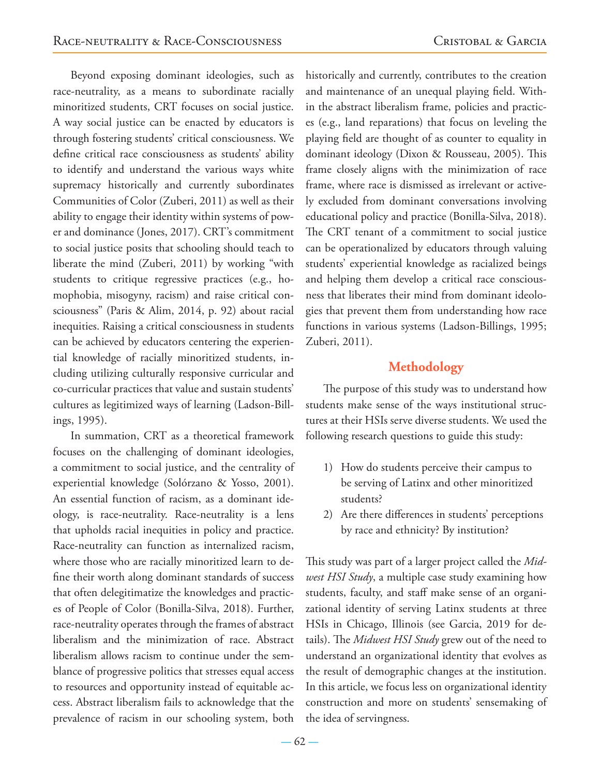Beyond exposing dominant ideologies, such as race-neutrality, as a means to subordinate racially minoritized students, CRT focuses on social justice. A way social justice can be enacted by educators is through fostering students' critical consciousness. We define critical race consciousness as students' ability to identify and understand the various ways white supremacy historically and currently subordinates Communities of Color (Zuberi, 2011) as well as their ability to engage their identity within systems of power and dominance (Jones, 2017). CRT's commitment to social justice posits that schooling should teach to liberate the mind (Zuberi, 2011) by working "with students to critique regressive practices (e.g., homophobia, misogyny, racism) and raise critical consciousness" (Paris & Alim, 2014, p. 92) about racial inequities. Raising a critical consciousness in students can be achieved by educators centering the experiential knowledge of racially minoritized students, including utilizing culturally responsive curricular and co-curricular practices that value and sustain students' cultures as legitimized ways of learning (Ladson-Billings, 1995).

In summation, CRT as a theoretical framework focuses on the challenging of dominant ideologies, a commitment to social justice, and the centrality of experiential knowledge (Solórzano & Yosso, 2001). An essential function of racism, as a dominant ideology, is race-neutrality. Race-neutrality is a lens that upholds racial inequities in policy and practice. Race-neutrality can function as internalized racism, where those who are racially minoritized learn to define their worth along dominant standards of success that often delegitimatize the knowledges and practices of People of Color (Bonilla-Silva, 2018). Further, race-neutrality operates through the frames of abstract liberalism and the minimization of race. Abstract liberalism allows racism to continue under the semblance of progressive politics that stresses equal access to resources and opportunity instead of equitable access. Abstract liberalism fails to acknowledge that the prevalence of racism in our schooling system, both

historically and currently, contributes to the creation and maintenance of an unequal playing field. Within the abstract liberalism frame, policies and practices (e.g., land reparations) that focus on leveling the playing field are thought of as counter to equality in dominant ideology (Dixon & Rousseau, 2005). This frame closely aligns with the minimization of race frame, where race is dismissed as irrelevant or actively excluded from dominant conversations involving educational policy and practice (Bonilla-Silva, 2018). The CRT tenant of a commitment to social justice can be operationalized by educators through valuing students' experiential knowledge as racialized beings and helping them develop a critical race consciousness that liberates their mind from dominant ideologies that prevent them from understanding how race functions in various systems (Ladson-Billings, 1995; Zuberi, 2011).

# **Methodology**

The purpose of this study was to understand how students make sense of the ways institutional structures at their HSIs serve diverse students. We used the following research questions to guide this study:

- 1) How do students perceive their campus to be serving of Latinx and other minoritized students?
- 2) Are there differences in students' perceptions by race and ethnicity? By institution?

This study was part of a larger project called the *Midwest HSI Study*, a multiple case study examining how students, faculty, and staff make sense of an organizational identity of serving Latinx students at three HSIs in Chicago, Illinois (see Garcia, 2019 for details). The *Midwest HSI Study* grew out of the need to understand an organizational identity that evolves as the result of demographic changes at the institution. In this article, we focus less on organizational identity construction and more on students' sensemaking of the idea of servingness.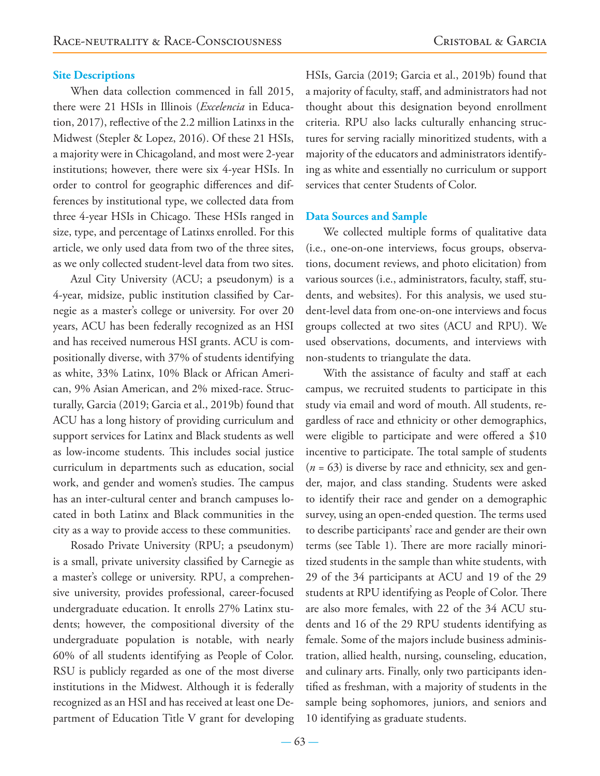#### **Site Descriptions**

When data collection commenced in fall 2015, there were 21 HSIs in Illinois (*Excelencia* in Education, 2017), reflective of the 2.2 million Latinxs in the Midwest (Stepler & Lopez, 2016). Of these 21 HSIs, a majority were in Chicagoland, and most were 2-year institutions; however, there were six 4-year HSIs. In order to control for geographic differences and differences by institutional type, we collected data from three 4-year HSIs in Chicago. These HSIs ranged in size, type, and percentage of Latinxs enrolled. For this article, we only used data from two of the three sites, as we only collected student-level data from two sites.

Azul City University (ACU; a pseudonym) is a 4-year, midsize, public institution classified by Carnegie as a master's college or university. For over 20 years, ACU has been federally recognized as an HSI and has received numerous HSI grants. ACU is compositionally diverse, with 37% of students identifying as white, 33% Latinx, 10% Black or African American, 9% Asian American, and 2% mixed-race. Structurally, Garcia (2019; Garcia et al., 2019b) found that ACU has a long history of providing curriculum and support services for Latinx and Black students as well as low-income students. This includes social justice curriculum in departments such as education, social work, and gender and women's studies. The campus has an inter-cultural center and branch campuses located in both Latinx and Black communities in the city as a way to provide access to these communities.

Rosado Private University (RPU; a pseudonym) is a small, private university classified by Carnegie as a master's college or university. RPU, a comprehensive university, provides professional, career-focused undergraduate education. It enrolls 27% Latinx students; however, the compositional diversity of the undergraduate population is notable, with nearly 60% of all students identifying as People of Color. RSU is publicly regarded as one of the most diverse institutions in the Midwest. Although it is federally recognized as an HSI and has received at least one Department of Education Title V grant for developing

HSIs, Garcia (2019; Garcia et al., 2019b) found that a majority of faculty, staff, and administrators had not thought about this designation beyond enrollment criteria. RPU also lacks culturally enhancing structures for serving racially minoritized students, with a majority of the educators and administrators identifying as white and essentially no curriculum or support services that center Students of Color.

#### **Data Sources and Sample**

We collected multiple forms of qualitative data (i.e., one-on-one interviews, focus groups, observations, document reviews, and photo elicitation) from various sources (i.e., administrators, faculty, staff, students, and websites). For this analysis, we used student-level data from one-on-one interviews and focus groups collected at two sites (ACU and RPU). We used observations, documents, and interviews with non-students to triangulate the data.

With the assistance of faculty and staff at each campus, we recruited students to participate in this study via email and word of mouth. All students, regardless of race and ethnicity or other demographics, were eligible to participate and were offered a \$10 incentive to participate. The total sample of students (*n* = 63) is diverse by race and ethnicity, sex and gender, major, and class standing. Students were asked to identify their race and gender on a demographic survey, using an open-ended question. The terms used to describe participants' race and gender are their own terms (see Table 1). There are more racially minoritized students in the sample than white students, with 29 of the 34 participants at ACU and 19 of the 29 students at RPU identifying as People of Color. There are also more females, with 22 of the 34 ACU students and 16 of the 29 RPU students identifying as female. Some of the majors include business administration, allied health, nursing, counseling, education, and culinary arts. Finally, only two participants identified as freshman, with a majority of students in the sample being sophomores, juniors, and seniors and 10 identifying as graduate students.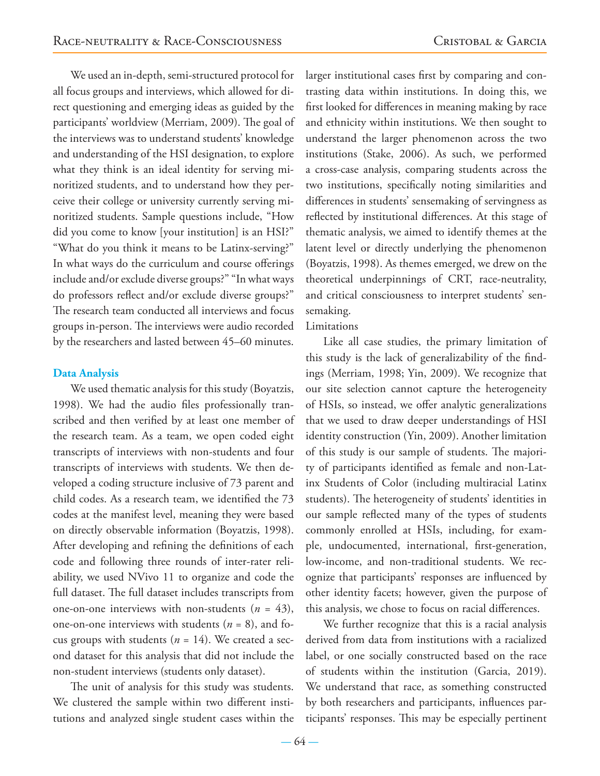We used an in-depth, semi-structured protocol for all focus groups and interviews, which allowed for direct questioning and emerging ideas as guided by the participants' worldview (Merriam, 2009). The goal of the interviews was to understand students' knowledge and understanding of the HSI designation, to explore what they think is an ideal identity for serving minoritized students, and to understand how they perceive their college or university currently serving minoritized students. Sample questions include, "How did you come to know [your institution] is an HSI?" "What do you think it means to be Latinx-serving?" In what ways do the curriculum and course offerings include and/or exclude diverse groups?" "In what ways do professors reflect and/or exclude diverse groups?" The research team conducted all interviews and focus groups in-person. The interviews were audio recorded by the researchers and lasted between 45–60 minutes.

#### **Data Analysis**

We used thematic analysis for this study (Boyatzis, 1998). We had the audio files professionally transcribed and then verified by at least one member of the research team. As a team, we open coded eight transcripts of interviews with non-students and four transcripts of interviews with students. We then developed a coding structure inclusive of 73 parent and child codes. As a research team, we identified the 73 codes at the manifest level, meaning they were based on directly observable information (Boyatzis, 1998). After developing and refining the definitions of each code and following three rounds of inter-rater reliability, we used NVivo 11 to organize and code the full dataset. The full dataset includes transcripts from one-on-one interviews with non-students  $(n = 43)$ , one-on-one interviews with students  $(n = 8)$ , and focus groups with students (*n* = 14). We created a second dataset for this analysis that did not include the non-student interviews (students only dataset).

The unit of analysis for this study was students. We clustered the sample within two different institutions and analyzed single student cases within the

larger institutional cases first by comparing and contrasting data within institutions. In doing this, we first looked for differences in meaning making by race and ethnicity within institutions. We then sought to understand the larger phenomenon across the two institutions (Stake, 2006). As such, we performed a cross-case analysis, comparing students across the two institutions, specifically noting similarities and differences in students' sensemaking of servingness as reflected by institutional differences. At this stage of thematic analysis, we aimed to identify themes at the latent level or directly underlying the phenomenon (Boyatzis, 1998). As themes emerged, we drew on the theoretical underpinnings of CRT, race-neutrality, and critical consciousness to interpret students' sensemaking.

#### Limitations

Like all case studies, the primary limitation of this study is the lack of generalizability of the findings (Merriam, 1998; Yin, 2009). We recognize that our site selection cannot capture the heterogeneity of HSIs, so instead, we offer analytic generalizations that we used to draw deeper understandings of HSI identity construction (Yin, 2009). Another limitation of this study is our sample of students. The majority of participants identified as female and non-Latinx Students of Color (including multiracial Latinx students). The heterogeneity of students' identities in our sample reflected many of the types of students commonly enrolled at HSIs, including, for example, undocumented, international, first-generation, low-income, and non-traditional students. We recognize that participants' responses are influenced by other identity facets; however, given the purpose of this analysis, we chose to focus on racial differences.

We further recognize that this is a racial analysis derived from data from institutions with a racialized label, or one socially constructed based on the race of students within the institution (Garcia, 2019). We understand that race, as something constructed by both researchers and participants, influences participants' responses. This may be especially pertinent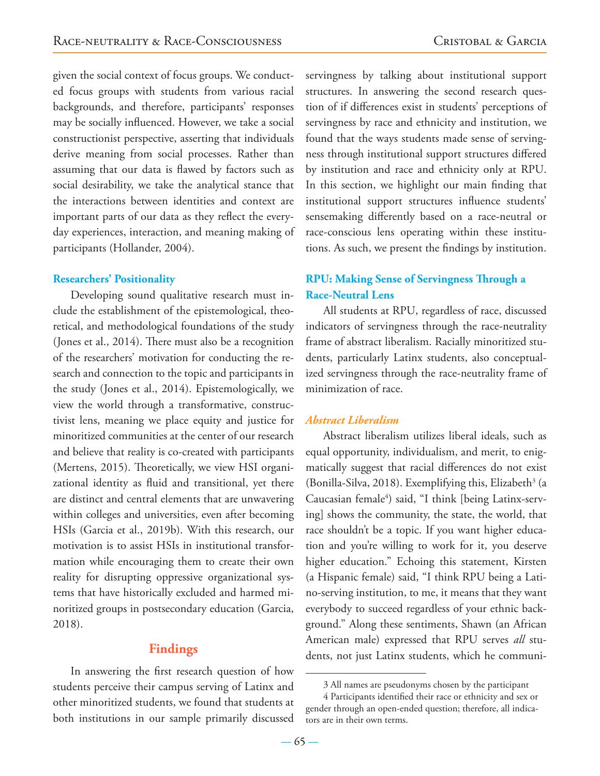given the social context of focus groups. We conducted focus groups with students from various racial backgrounds, and therefore, participants' responses may be socially influenced. However, we take a social constructionist perspective, asserting that individuals derive meaning from social processes. Rather than assuming that our data is flawed by factors such as social desirability, we take the analytical stance that the interactions between identities and context are important parts of our data as they reflect the everyday experiences, interaction, and meaning making of participants (Hollander, 2004).

#### **Researchers' Positionality**

Developing sound qualitative research must include the establishment of the epistemological, theoretical, and methodological foundations of the study (Jones et al., 2014). There must also be a recognition of the researchers' motivation for conducting the research and connection to the topic and participants in the study (Jones et al., 2014). Epistemologically, we view the world through a transformative, constructivist lens, meaning we place equity and justice for minoritized communities at the center of our research and believe that reality is co-created with participants (Mertens, 2015). Theoretically, we view HSI organizational identity as fluid and transitional, yet there are distinct and central elements that are unwavering within colleges and universities, even after becoming HSIs (Garcia et al., 2019b). With this research, our motivation is to assist HSIs in institutional transformation while encouraging them to create their own reality for disrupting oppressive organizational systems that have historically excluded and harmed minoritized groups in postsecondary education (Garcia, 2018).

#### **Findings**

In answering the first research question of how students perceive their campus serving of Latinx and other minoritized students, we found that students at both institutions in our sample primarily discussed

servingness by talking about institutional support structures. In answering the second research question of if differences exist in students' perceptions of servingness by race and ethnicity and institution, we found that the ways students made sense of servingness through institutional support structures differed by institution and race and ethnicity only at RPU. In this section, we highlight our main finding that institutional support structures influence students' sensemaking differently based on a race-neutral or race-conscious lens operating within these institutions. As such, we present the findings by institution.

# **RPU: Making Sense of Servingness Through a Race-Neutral Lens**

All students at RPU, regardless of race, discussed indicators of servingness through the race-neutrality frame of abstract liberalism. Racially minoritized students, particularly Latinx students, also conceptualized servingness through the race-neutrality frame of minimization of race.

#### *Abstract Liberalism*

Abstract liberalism utilizes liberal ideals, such as equal opportunity, individualism, and merit, to enigmatically suggest that racial differences do not exist (Bonilla-Silva, 2018). Exemplifying this, Elizabeth<sup>3</sup> (a Caucasian female4 ) said, "I think [being Latinx-serving] shows the community, the state, the world, that race shouldn't be a topic. If you want higher education and you're willing to work for it, you deserve higher education." Echoing this statement, Kirsten (a Hispanic female) said, "I think RPU being a Latino-serving institution, to me, it means that they want everybody to succeed regardless of your ethnic background." Along these sentiments, Shawn (an African American male) expressed that RPU serves *all* students, not just Latinx students, which he communi-

<sup>3</sup> All names are pseudonyms chosen by the participant

<sup>4</sup> Participants identified their race or ethnicity and sex or gender through an open-ended question; therefore, all indicators are in their own terms.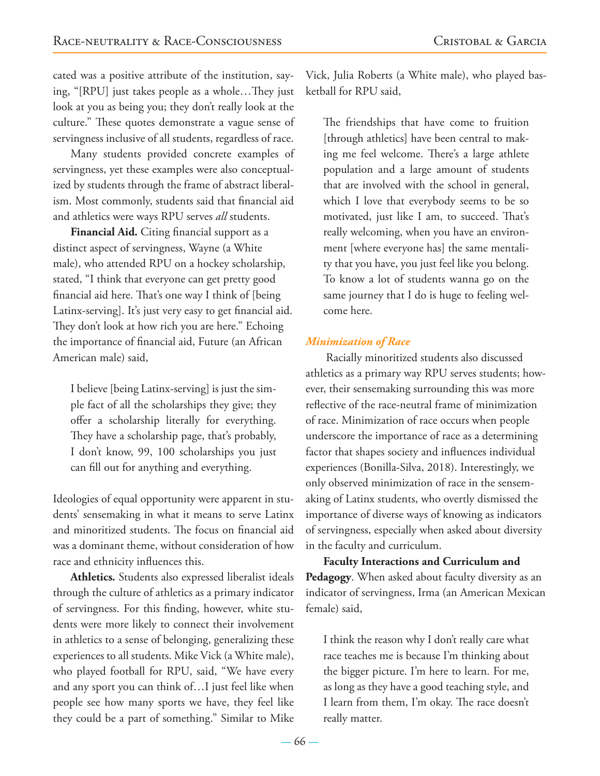cated was a positive attribute of the institution, saying, "[RPU] just takes people as a whole…They just look at you as being you; they don't really look at the culture." These quotes demonstrate a vague sense of servingness inclusive of all students, regardless of race.

Many students provided concrete examples of servingness, yet these examples were also conceptualized by students through the frame of abstract liberalism. Most commonly, students said that financial aid and athletics were ways RPU serves *all* students.

**Financial Aid***.* Citing financial support as a distinct aspect of servingness, Wayne (a White male), who attended RPU on a hockey scholarship, stated, "I think that everyone can get pretty good financial aid here. That's one way I think of [being Latinx-serving]. It's just very easy to get financial aid. They don't look at how rich you are here." Echoing the importance of financial aid, Future (an African American male) said,

I believe [being Latinx-serving] is just the simple fact of all the scholarships they give; they offer a scholarship literally for everything. They have a scholarship page, that's probably, I don't know, 99, 100 scholarships you just can fill out for anything and everything.

Ideologies of equal opportunity were apparent in students' sensemaking in what it means to serve Latinx and minoritized students. The focus on financial aid was a dominant theme, without consideration of how race and ethnicity influences this.

**Athletics***.* Students also expressed liberalist ideals through the culture of athletics as a primary indicator of servingness. For this finding, however, white students were more likely to connect their involvement in athletics to a sense of belonging, generalizing these experiences to all students. Mike Vick (a White male), who played football for RPU, said, "We have every and any sport you can think of…I just feel like when people see how many sports we have, they feel like they could be a part of something." Similar to Mike

Vick, Julia Roberts (a White male), who played basketball for RPU said,

The friendships that have come to fruition [through athletics] have been central to making me feel welcome. There's a large athlete population and a large amount of students that are involved with the school in general, which I love that everybody seems to be so motivated, just like I am, to succeed. That's really welcoming, when you have an environment [where everyone has] the same mentality that you have, you just feel like you belong. To know a lot of students wanna go on the same journey that I do is huge to feeling welcome here.

#### *Minimization of Race*

Racially minoritized students also discussed athletics as a primary way RPU serves students; however, their sensemaking surrounding this was more reflective of the race-neutral frame of minimization of race. Minimization of race occurs when people underscore the importance of race as a determining factor that shapes society and influences individual experiences (Bonilla-Silva, 2018). Interestingly, we only observed minimization of race in the sensemaking of Latinx students, who overtly dismissed the importance of diverse ways of knowing as indicators of servingness, especially when asked about diversity in the faculty and curriculum.

**Faculty Interactions and Curriculum and Pedagogy**. When asked about faculty diversity as an indicator of servingness, Irma (an American Mexican female) said,

I think the reason why I don't really care what race teaches me is because I'm thinking about the bigger picture. I'm here to learn. For me, as long as they have a good teaching style, and I learn from them, I'm okay. The race doesn't really matter.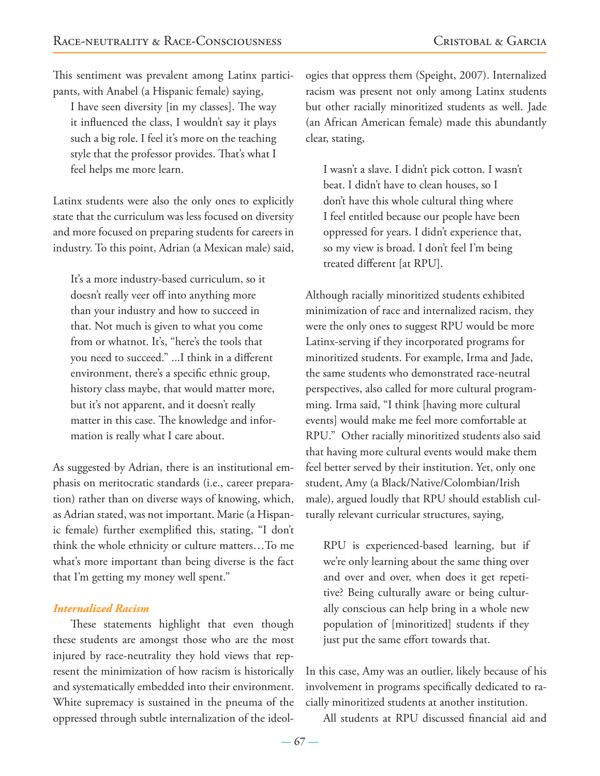This sentiment was prevalent among Latinx participants, with Anabel (a Hispanic female) saying,

I have seen diversity [in my classes]. The way it influenced the class, I wouldn't say it plays such a big role. I feel it's more on the teaching style that the professor provides. That's what I feel helps me more learn.

Latinx students were also the only ones to explicitly state that the curriculum was less focused on diversity and more focused on preparing students for careers in industry. To this point, Adrian (a Mexican male) said,

It's a more industry-based curriculum, so it doesn't really veer off into anything more than your industry and how to succeed in that. Not much is given to what you come from or whatnot. It's, "here's the tools that you need to succeed." ...I think in a different environment, there's a specific ethnic group, history class maybe, that would matter more, but it's not apparent, and it doesn't really matter in this case. The knowledge and information is really what I care about.

As suggested by Adrian, there is an institutional emphasis on meritocratic standards (i.e., career preparation) rather than on diverse ways of knowing, which, as Adrian stated, was not important. Marie (a Hispanic female) further exemplified this, stating, "I don't think the whole ethnicity or culture matters…To me what's more important than being diverse is the fact that I'm getting my money well spent."

#### *Internalized Racism*

These statements highlight that even though these students are amongst those who are the most injured by race-neutrality they hold views that represent the minimization of how racism is historically and systematically embedded into their environment. White supremacy is sustained in the pneuma of the oppressed through subtle internalization of the ideologies that oppress them (Speight, 2007). Internalized racism was present not only among Latinx students but other racially minoritized students as well. Jade (an African American female) made this abundantly clear, stating,

I wasn't a slave. I didn't pick cotton. I wasn't beat. I didn't have to clean houses, so I don't have this whole cultural thing where I feel entitled because our people have been oppressed for years. I didn't experience that, so my view is broad. I don't feel I'm being treated different [at RPU].

Although racially minoritized students exhibited minimization of race and internalized racism, they were the only ones to suggest RPU would be more Latinx-serving if they incorporated programs for minoritized students. For example, Irma and Jade, the same students who demonstrated race-neutral perspectives, also called for more cultural programming. Irma said, "I think [having more cultural events] would make me feel more comfortable at RPU." Other racially minoritized students also said that having more cultural events would make them feel better served by their institution. Yet, only one student, Amy (a Black/Native/Colombian/Irish male), argued loudly that RPU should establish culturally relevant curricular structures, saying,

RPU is experienced-based learning, but if we're only learning about the same thing over and over and over, when does it get repetitive? Being culturally aware or being culturally conscious can help bring in a whole new population of [minoritized] students if they just put the same effort towards that.

In this case, Amy was an outlier, likely because of his involvement in programs specifically dedicated to racially minoritized students at another institution.

All students at RPU discussed financial aid and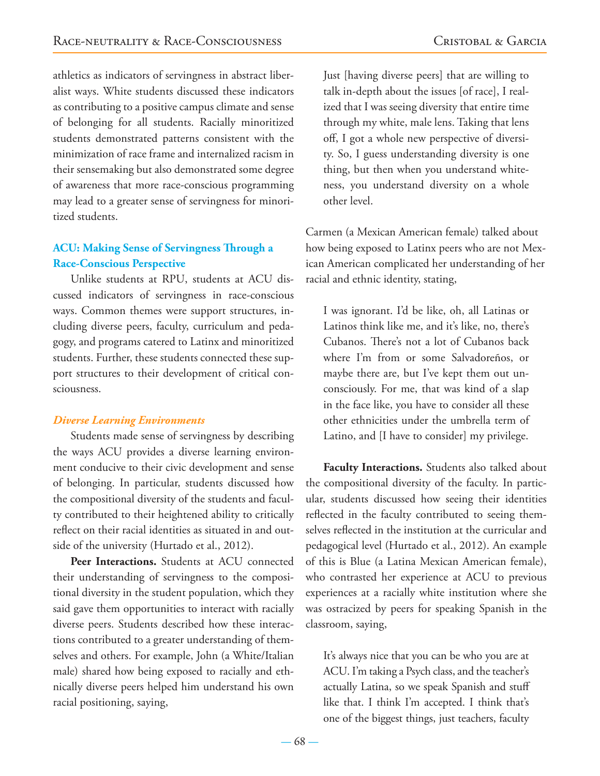athletics as indicators of servingness in abstract liberalist ways. White students discussed these indicators as contributing to a positive campus climate and sense of belonging for all students. Racially minoritized students demonstrated patterns consistent with the minimization of race frame and internalized racism in their sensemaking but also demonstrated some degree of awareness that more race-conscious programming may lead to a greater sense of servingness for minoritized students.

# **ACU: Making Sense of Servingness Through a Race-Conscious Perspective**

Unlike students at RPU, students at ACU discussed indicators of servingness in race-conscious ways. Common themes were support structures, including diverse peers, faculty, curriculum and pedagogy, and programs catered to Latinx and minoritized students. Further, these students connected these support structures to their development of critical consciousness.

#### *Diverse Learning Environments*

Students made sense of servingness by describing the ways ACU provides a diverse learning environment conducive to their civic development and sense of belonging. In particular, students discussed how the compositional diversity of the students and faculty contributed to their heightened ability to critically reflect on their racial identities as situated in and outside of the university (Hurtado et al., 2012).

**Peer Interactions.** Students at ACU connected their understanding of servingness to the compositional diversity in the student population, which they said gave them opportunities to interact with racially diverse peers. Students described how these interactions contributed to a greater understanding of themselves and others. For example, John (a White/Italian male) shared how being exposed to racially and ethnically diverse peers helped him understand his own racial positioning, saying,

Just [having diverse peers] that are willing to talk in-depth about the issues [of race], I realized that I was seeing diversity that entire time through my white, male lens. Taking that lens off, I got a whole new perspective of diversity. So, I guess understanding diversity is one thing, but then when you understand whiteness, you understand diversity on a whole other level.

Carmen (a Mexican American female) talked about how being exposed to Latinx peers who are not Mexican American complicated her understanding of her racial and ethnic identity, stating,

I was ignorant. I'd be like, oh, all Latinas or Latinos think like me, and it's like, no, there's Cubanos. There's not a lot of Cubanos back where I'm from or some Salvadoreños, or maybe there are, but I've kept them out unconsciously. For me, that was kind of a slap in the face like, you have to consider all these other ethnicities under the umbrella term of Latino, and [I have to consider] my privilege.

**Faculty Interactions.** Students also talked about the compositional diversity of the faculty. In particular, students discussed how seeing their identities reflected in the faculty contributed to seeing themselves reflected in the institution at the curricular and pedagogical level (Hurtado et al., 2012). An example of this is Blue (a Latina Mexican American female), who contrasted her experience at ACU to previous experiences at a racially white institution where she was ostracized by peers for speaking Spanish in the classroom, saying,

It's always nice that you can be who you are at ACU. I'm taking a Psych class, and the teacher's actually Latina, so we speak Spanish and stuff like that. I think I'm accepted. I think that's one of the biggest things, just teachers, faculty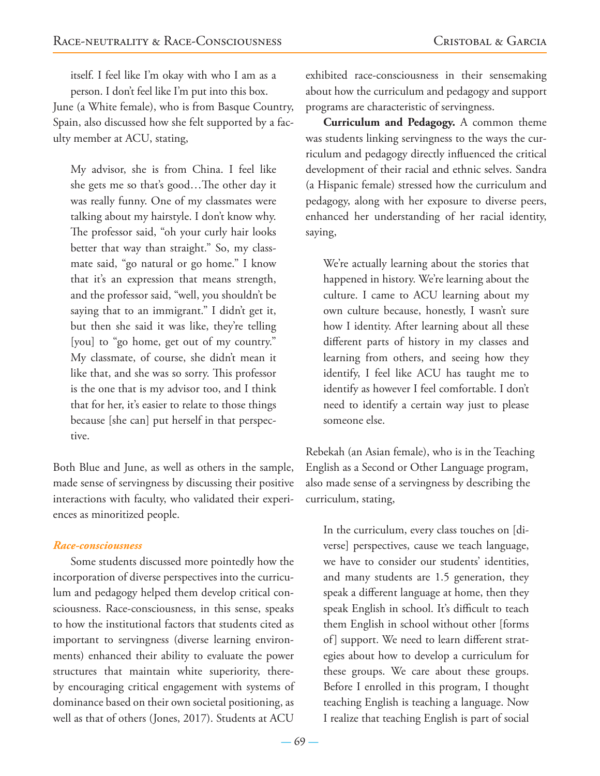itself. I feel like I'm okay with who I am as a person. I don't feel like I'm put into this box. June (a White female), who is from Basque Country, Spain, also discussed how she felt supported by a faculty member at ACU, stating,

My advisor, she is from China. I feel like she gets me so that's good…The other day it was really funny. One of my classmates were talking about my hairstyle. I don't know why. The professor said, "oh your curly hair looks better that way than straight." So, my classmate said, "go natural or go home." I know that it's an expression that means strength, and the professor said, "well, you shouldn't be saying that to an immigrant." I didn't get it, but then she said it was like, they're telling [you] to "go home, get out of my country." My classmate, of course, she didn't mean it like that, and she was so sorry. This professor is the one that is my advisor too, and I think that for her, it's easier to relate to those things because [she can] put herself in that perspective.

Both Blue and June, as well as others in the sample, made sense of servingness by discussing their positive interactions with faculty, who validated their experiences as minoritized people.

#### *Race-consciousness*

Some students discussed more pointedly how the incorporation of diverse perspectives into the curriculum and pedagogy helped them develop critical consciousness. Race-consciousness, in this sense, speaks to how the institutional factors that students cited as important to servingness (diverse learning environments) enhanced their ability to evaluate the power structures that maintain white superiority, thereby encouraging critical engagement with systems of dominance based on their own societal positioning, as well as that of others (Jones, 2017). Students at ACU

exhibited race-consciousness in their sensemaking about how the curriculum and pedagogy and support programs are characteristic of servingness.

**Curriculum and Pedagogy.** A common theme was students linking servingness to the ways the curriculum and pedagogy directly influenced the critical development of their racial and ethnic selves. Sandra (a Hispanic female) stressed how the curriculum and pedagogy, along with her exposure to diverse peers, enhanced her understanding of her racial identity, saying,

We're actually learning about the stories that happened in history. We're learning about the culture. I came to ACU learning about my own culture because, honestly, I wasn't sure how I identity. After learning about all these different parts of history in my classes and learning from others, and seeing how they identify, I feel like ACU has taught me to identify as however I feel comfortable. I don't need to identify a certain way just to please someone else.

Rebekah (an Asian female), who is in the Teaching English as a Second or Other Language program, also made sense of a servingness by describing the curriculum, stating,

In the curriculum, every class touches on [diverse] perspectives, cause we teach language, we have to consider our students' identities, and many students are 1.5 generation, they speak a different language at home, then they speak English in school. It's difficult to teach them English in school without other [forms of] support. We need to learn different strategies about how to develop a curriculum for these groups. We care about these groups. Before I enrolled in this program, I thought teaching English is teaching a language. Now I realize that teaching English is part of social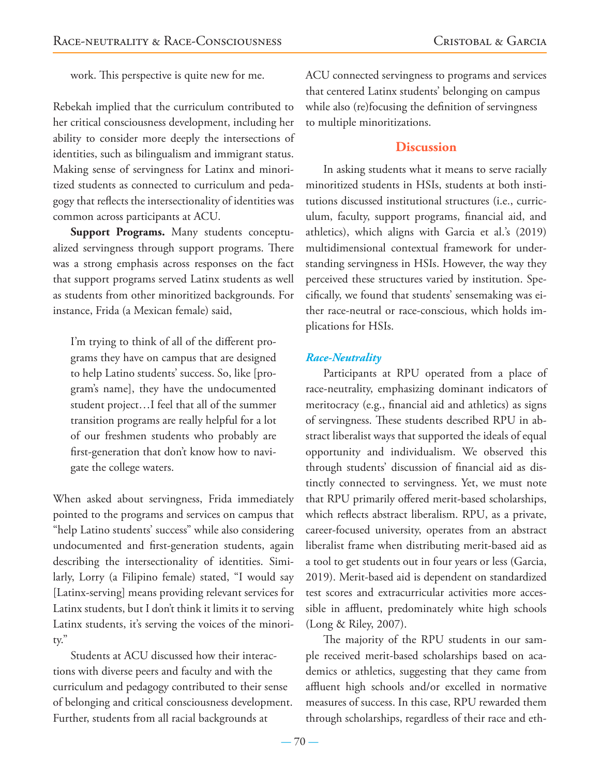work. This perspective is quite new for me.

Rebekah implied that the curriculum contributed to her critical consciousness development, including her ability to consider more deeply the intersections of identities, such as bilingualism and immigrant status. Making sense of servingness for Latinx and minoritized students as connected to curriculum and pedagogy that reflects the intersectionality of identities was common across participants at ACU.

**Support Programs.** Many students conceptualized servingness through support programs. There was a strong emphasis across responses on the fact that support programs served Latinx students as well as students from other minoritized backgrounds. For instance, Frida (a Mexican female) said,

I'm trying to think of all of the different programs they have on campus that are designed to help Latino students' success. So, like [program's name], they have the undocumented student project…I feel that all of the summer transition programs are really helpful for a lot of our freshmen students who probably are first-generation that don't know how to navigate the college waters.

When asked about servingness, Frida immediately pointed to the programs and services on campus that "help Latino students' success" while also considering undocumented and first-generation students, again describing the intersectionality of identities. Similarly, Lorry (a Filipino female) stated, "I would say [Latinx-serving] means providing relevant services for Latinx students, but I don't think it limits it to serving Latinx students, it's serving the voices of the minority."

Students at ACU discussed how their interactions with diverse peers and faculty and with the curriculum and pedagogy contributed to their sense of belonging and critical consciousness development. Further, students from all racial backgrounds at

ACU connected servingness to programs and services that centered Latinx students' belonging on campus while also (re)focusing the definition of servingness to multiple minoritizations.

# **Discussion**

In asking students what it means to serve racially minoritized students in HSIs, students at both institutions discussed institutional structures (i.e., curriculum, faculty, support programs, financial aid, and athletics), which aligns with Garcia et al.'s (2019) multidimensional contextual framework for understanding servingness in HSIs. However, the way they perceived these structures varied by institution. Specifically, we found that students' sensemaking was either race-neutral or race-conscious, which holds implications for HSIs.

# *Race-Neutrality*

Participants at RPU operated from a place of race-neutrality, emphasizing dominant indicators of meritocracy (e.g., financial aid and athletics) as signs of servingness. These students described RPU in abstract liberalist ways that supported the ideals of equal opportunity and individualism. We observed this through students' discussion of financial aid as distinctly connected to servingness. Yet, we must note that RPU primarily offered merit-based scholarships, which reflects abstract liberalism. RPU, as a private, career-focused university, operates from an abstract liberalist frame when distributing merit-based aid as a tool to get students out in four years or less (Garcia, 2019). Merit-based aid is dependent on standardized test scores and extracurricular activities more accessible in affluent, predominately white high schools (Long & Riley, 2007).

The majority of the RPU students in our sample received merit-based scholarships based on academics or athletics, suggesting that they came from affluent high schools and/or excelled in normative measures of success. In this case, RPU rewarded them through scholarships, regardless of their race and eth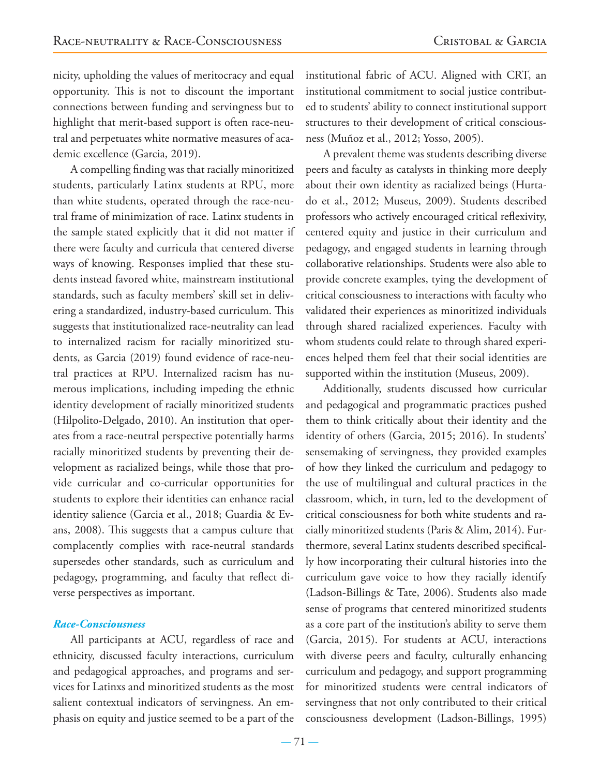nicity, upholding the values of meritocracy and equal opportunity. This is not to discount the important connections between funding and servingness but to highlight that merit-based support is often race-neutral and perpetuates white normative measures of academic excellence (Garcia, 2019).

A compelling finding was that racially minoritized students, particularly Latinx students at RPU, more than white students, operated through the race-neutral frame of minimization of race. Latinx students in the sample stated explicitly that it did not matter if there were faculty and curricula that centered diverse ways of knowing. Responses implied that these students instead favored white, mainstream institutional standards, such as faculty members' skill set in delivering a standardized, industry-based curriculum. This suggests that institutionalized race-neutrality can lead to internalized racism for racially minoritized students, as Garcia (2019) found evidence of race-neutral practices at RPU. Internalized racism has numerous implications, including impeding the ethnic identity development of racially minoritized students (Hilpolito-Delgado, 2010). An institution that operates from a race-neutral perspective potentially harms racially minoritized students by preventing their development as racialized beings, while those that provide curricular and co-curricular opportunities for students to explore their identities can enhance racial identity salience (Garcia et al., 2018; Guardia & Evans, 2008). This suggests that a campus culture that complacently complies with race-neutral standards supersedes other standards, such as curriculum and pedagogy, programming, and faculty that reflect diverse perspectives as important.

#### *Race-Consciousness*

All participants at ACU, regardless of race and ethnicity, discussed faculty interactions, curriculum and pedagogical approaches, and programs and services for Latinxs and minoritized students as the most salient contextual indicators of servingness. An emphasis on equity and justice seemed to be a part of the institutional fabric of ACU. Aligned with CRT, an institutional commitment to social justice contributed to students' ability to connect institutional support structures to their development of critical consciousness (Muñoz et al., 2012; Yosso, 2005).

A prevalent theme was students describing diverse peers and faculty as catalysts in thinking more deeply about their own identity as racialized beings (Hurtado et al., 2012; Museus, 2009). Students described professors who actively encouraged critical reflexivity, centered equity and justice in their curriculum and pedagogy, and engaged students in learning through collaborative relationships. Students were also able to provide concrete examples, tying the development of critical consciousness to interactions with faculty who validated their experiences as minoritized individuals through shared racialized experiences. Faculty with whom students could relate to through shared experiences helped them feel that their social identities are supported within the institution (Museus, 2009).

Additionally, students discussed how curricular and pedagogical and programmatic practices pushed them to think critically about their identity and the identity of others (Garcia, 2015; 2016). In students' sensemaking of servingness, they provided examples of how they linked the curriculum and pedagogy to the use of multilingual and cultural practices in the classroom, which, in turn, led to the development of critical consciousness for both white students and racially minoritized students (Paris & Alim, 2014). Furthermore, several Latinx students described specifically how incorporating their cultural histories into the curriculum gave voice to how they racially identify (Ladson-Billings & Tate, 2006). Students also made sense of programs that centered minoritized students as a core part of the institution's ability to serve them (Garcia, 2015). For students at ACU, interactions with diverse peers and faculty, culturally enhancing curriculum and pedagogy, and support programming for minoritized students were central indicators of servingness that not only contributed to their critical consciousness development (Ladson-Billings, 1995)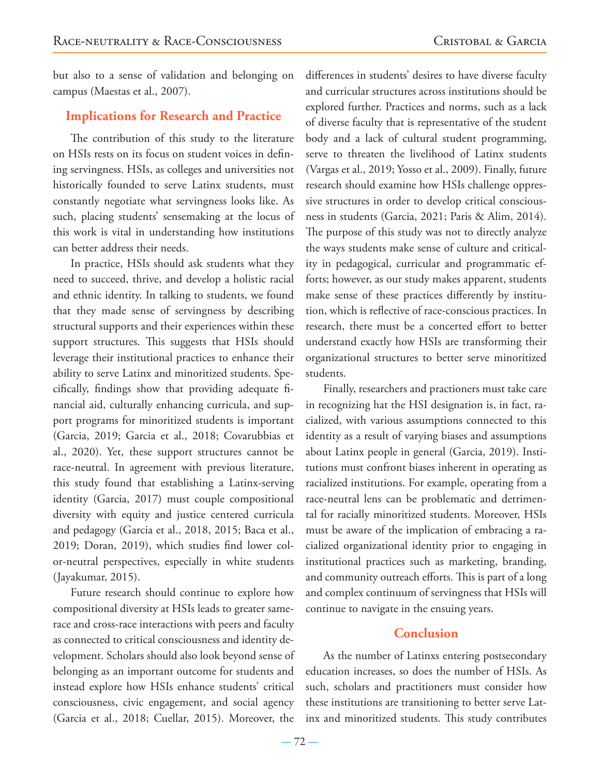but also to a sense of validation and belonging on campus (Maestas et al., 2007).

# **Implications for Research and Practice**

The contribution of this study to the literature on HSIs rests on its focus on student voices in defining servingness. HSIs, as colleges and universities not historically founded to serve Latinx students, must constantly negotiate what servingness looks like. As such, placing students' sensemaking at the locus of this work is vital in understanding how institutions can better address their needs.

In practice, HSIs should ask students what they need to succeed, thrive, and develop a holistic racial and ethnic identity. In talking to students, we found that they made sense of servingness by describing structural supports and their experiences within these support structures. This suggests that HSIs should leverage their institutional practices to enhance their ability to serve Latinx and minoritized students. Specifically, findings show that providing adequate financial aid, culturally enhancing curricula, and support programs for minoritized students is important (Garcia, 2019; Garcia et al., 2018; Covarubbias et al., 2020). Yet, these support structures cannot be race-neutral. In agreement with previous literature, this study found that establishing a Latinx-serving identity (Garcia, 2017) must couple compositional diversity with equity and justice centered curricula and pedagogy (Garcia et al., 2018, 2015; Baca et al., 2019; Doran, 2019), which studies find lower color-neutral perspectives, especially in white students (Jayakumar, 2015).

Future research should continue to explore how compositional diversity at HSIs leads to greater samerace and cross-race interactions with peers and faculty as connected to critical consciousness and identity development. Scholars should also look beyond sense of belonging as an important outcome for students and instead explore how HSIs enhance students' critical consciousness, civic engagement, and social agency (Garcia et al., 2018; Cuellar, 2015). Moreover, the

differences in students' desires to have diverse faculty and curricular structures across institutions should be explored further. Practices and norms, such as a lack of diverse faculty that is representative of the student body and a lack of cultural student programming, serve to threaten the livelihood of Latinx students (Vargas et al., 2019; Yosso et al., 2009). Finally, future research should examine how HSIs challenge oppressive structures in order to develop critical consciousness in students (Garcia, 2021; Paris & Alim, 2014). The purpose of this study was not to directly analyze the ways students make sense of culture and criticality in pedagogical, curricular and programmatic efforts; however, as our study makes apparent, students make sense of these practices differently by institution, which is reflective of race-conscious practices. In research, there must be a concerted effort to better understand exactly how HSIs are transforming their organizational structures to better serve minoritized students.

Finally, researchers and practioners must take care in recognizing hat the HSI designation is, in fact, racialized, with various assumptions connected to this identity as a result of varying biases and assumptions about Latinx people in general (Garcia, 2019). Institutions must confront biases inherent in operating as racialized institutions. For example, operating from a race-neutral lens can be problematic and detrimental for racially minoritized students. Moreover, HSIs must be aware of the implication of embracing a racialized organizational identity prior to engaging in institutional practices such as marketing, branding, and community outreach efforts. This is part of a long and complex continuum of servingness that HSIs will continue to navigate in the ensuing years.

# **Conclusion**

As the number of Latinxs entering postsecondary education increases, so does the number of HSIs. As such, scholars and practitioners must consider how these institutions are transitioning to better serve Latinx and minoritized students. This study contributes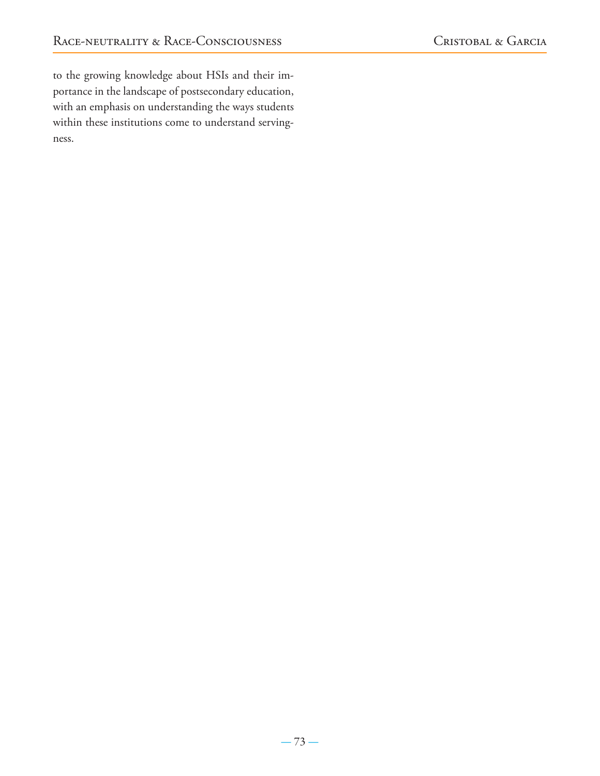to the growing knowledge about HSIs and their importance in the landscape of postsecondary education, with an emphasis on understanding the ways students within these institutions come to understand servingness.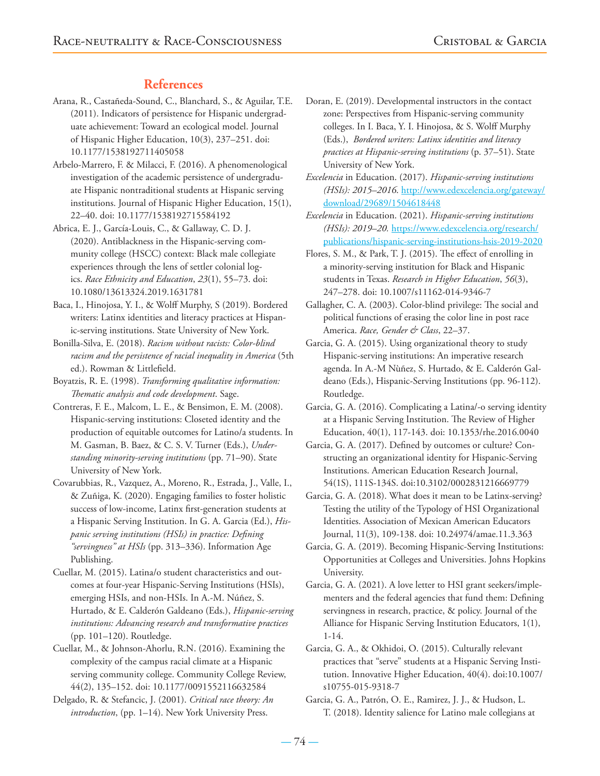# **References**

- Arana, R., Castañeda-Sound, C., Blanchard, S., & Aguilar, T.E. (2011). Indicators of persistence for Hispanic undergraduate achievement: Toward an ecological model. Journal of Hispanic Higher Education, 10(3), 237–251. doi: 10.1177/1538192711405058
- Arbelo-Marrero, F. & Milacci, F. (2016). A phenomenological investigation of the academic persistence of undergraduate Hispanic nontraditional students at Hispanic serving institutions. Journal of Hispanic Higher Education, 15(1), 22–40. doi: 10.1177/1538192715584192
- Abrica, E. J., García-Louis, C., & Gallaway, C. D. J. (2020). Antiblackness in the Hispanic-serving community college (HSCC) context: Black male collegiate experiences through the lens of settler colonial logics. *Race Ethnicity and Education*, *23*(1), 55–73. doi: 10.1080/13613324.2019.1631781
- Baca, I., Hinojosa, Y. I., & Wolff Murphy, S (2019). Bordered writers: Latinx identities and literacy practices at Hispanic-serving institutions. State University of New York.
- Bonilla-Silva, E. (2018). *Racism without racists: Color-blind racism and the persistence of racial inequality in America* (5th ed.). Rowman & Littlefield.
- Boyatzis, R. E. (1998). *Transforming qualitative information: Thematic analysis and code development*. Sage.
- Contreras, F. E., Malcom, L. E., & Bensimon, E. M. (2008). Hispanic-serving institutions: Closeted identity and the production of equitable outcomes for Latino/a students. In M. Gasman, B. Baez, & C. S. V. Turner (Eds.), *Understanding minority-serving institutions* (pp. 71–90). State University of New York.
- Covarubbias, R., Vazquez, A., Moreno, R., Estrada, J., Valle, I., & Zuñiga, K. (2020). Engaging families to foster holistic success of low-income, Latinx first-generation students at a Hispanic Serving Institution. In G. A. Garcia (Ed.), *Hispanic serving institutions (HSIs) in practice: Defining "servingness" at HSIs* (pp. 313–336). Information Age Publishing.
- Cuellar, M. (2015). Latina/o student characteristics and outcomes at four-year Hispanic-Serving Institutions (HSIs), emerging HSIs, and non-HSIs. In A.-M. Núñez, S. Hurtado, & E. Calderón Galdeano (Eds.), *Hispanic-serving institutions: Advancing research and transformative practices* (pp. 101–120). Routledge.
- Cuellar, M., & Johnson-Ahorlu, R.N. (2016). Examining the complexity of the campus racial climate at a Hispanic serving community college. Community College Review, 44(2), 135–152. doi: 10.1177/0091552116632584
- Delgado, R. & Stefancic, J. (2001). *Critical race theory: An introduction*, (pp. 1–14). New York University Press.
- Doran, E. (2019). Developmental instructors in the contact zone: Perspectives from Hispanic-serving community colleges. In I. Baca, Y. I. Hinojosa, & S. Wolff Murphy (Eds.), *Bordered writers: Latinx identities and literacy practices at Hispanic-serving institutions* (p. 37–51). State University of New York.
- *Excelencia* in Education. (2017). *Hispanic-serving institutions (HSIs): 2015–2016*. http://www.edexcelencia.org/gateway/ download/29689/1504618448
- *Excelencia* in Education. (2021). *Hispanic-serving institutions (HSIs): 2019–20.* https://www.edexcelencia.org/research/ publications/hispanic-serving-institutions-hsis-2019-2020
- Flores, S. M., & Park, T. J. (2015). The effect of enrolling in a minority-serving institution for Black and Hispanic students in Texas. *Research in Higher Education*, *56*(3), 247–278. doi: 10.1007/s11162-014-9346-7
- Gallagher, C. A. (2003). Color-blind privilege: The social and political functions of erasing the color line in post race America. *Race, Gender & Class*, 22–37.
- Garcia, G. A. (2015). Using organizational theory to study Hispanic-serving institutions: An imperative research agenda. In A.-M Nùñez, S. Hurtado, & E. Calderón Galdeano (Eds.), Hispanic-Serving Institutions (pp. 96-112). Routledge.
- Garcia, G. A. (2016). Complicating a Latina/-o serving identity at a Hispanic Serving Institution. The Review of Higher Education, 40(1), 117-143. doi: 10.1353/rhe.2016.0040
- Garcia, G. A. (2017). Defined by outcomes or culture? Constructing an organizational identity for Hispanic-Serving Institutions. American Education Research Journal, 54(1S), 111S-134S. doi:10.3102/0002831216669779
- Garcia, G. A. (2018). What does it mean to be Latinx-serving? Testing the utility of the Typology of HSI Organizational Identities. Association of Mexican American Educators Journal, 11(3), 109-138. doi: 10.24974/amae.11.3.363
- Garcia, G. A. (2019). Becoming Hispanic-Serving Institutions: Opportunities at Colleges and Universities. Johns Hopkins University.
- Garcia, G. A. (2021). A love letter to HSI grant seekers/implementers and the federal agencies that fund them: Defining servingness in research, practice, & policy. Journal of the Alliance for Hispanic Serving Institution Educators, 1(1), 1-14.
- Garcia, G. A., & Okhidoi, O. (2015). Culturally relevant practices that "serve" students at a Hispanic Serving Institution. Innovative Higher Education, 40(4). doi:10.1007/ s10755-015-9318-7
- Garcia, G. A., Patrón, O. E., Ramirez, J. J., & Hudson, L. T. (2018). Identity salience for Latino male collegians at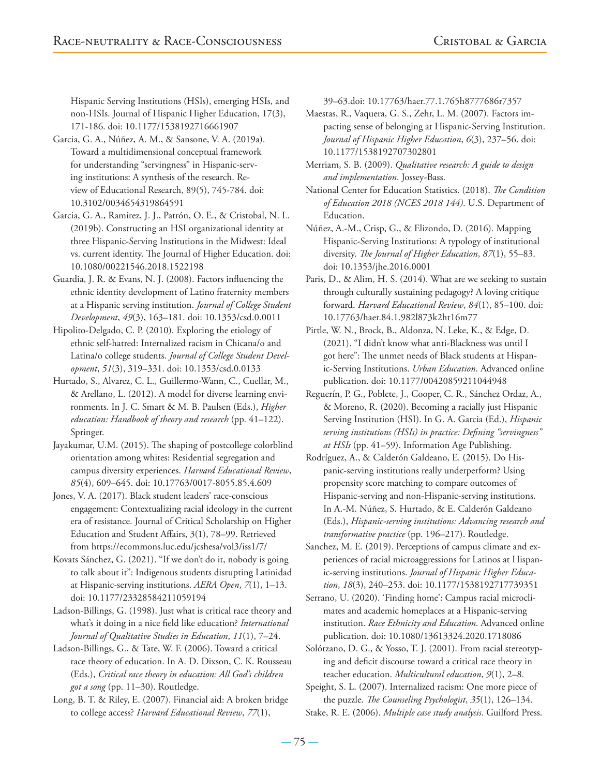Hispanic Serving Institutions (HSIs), emerging HSIs, and non-HSIs. Journal of Hispanic Higher Education, 17(3), 171-186. doi: 10.1177/1538192716661907

- Garcia, G. A., Núñez, A. M., & Sansone, V. A. (2019a). Toward a multidimensional conceptual framework for understanding "servingness" in Hispanic-serving institutions: A synthesis of the research. Review of Educational Research, 89(5), 745-784. doi: 10.3102/0034654319864591
- Garcia, G. A., Ramirez, J. J., Patrón, O. E., & Cristobal, N. L. (2019b). Constructing an HSI organizational identity at three Hispanic-Serving Institutions in the Midwest: Ideal vs. current identity. The Journal of Higher Education. doi: 10.1080/00221546.2018.1522198
- Guardia, J. R. & Evans, N. J. (2008). Factors influencing the ethnic identity development of Latino fraternity members at a Hispanic serving institution. *Journal of College Student Development*, *49*(3), 163–181. doi: 10.1353/csd.0.0011
- Hipolito-Delgado, C. P. (2010). Exploring the etiology of ethnic self-hatred: Internalized racism in Chicana/o and Latina/o college students. *Journal of College Student Development*, *51*(3), 319–331. doi: 10.1353/csd.0.0133
- Hurtado, S., Alvarez, C. L., Guillermo-Wann, C., Cuellar, M., & Arellano, L. (2012). A model for diverse learning environments. In J. C. Smart & M. B. Paulsen (Eds.), *Higher education: Handbook of theory and research* (pp. 41–122). Springer.
- Jayakumar, U.M. (2015). The shaping of postcollege colorblind orientation among whites: Residential segregation and campus diversity experiences. *Harvard Educational Review*, *85*(4), 609–645. doi: 10.17763/0017-8055.85.4.609
- Jones, V. A. (2017). Black student leaders' race-conscious engagement: Contextualizing racial ideology in the current era of resistance. Journal of Critical Scholarship on Higher Education and Student Affairs, 3(1), 78–99. Retrieved from https://ecommons.luc.edu/jcshesa/vol3/iss1/7/
- Kovats Sánchez, G. (2021). "If we don't do it, nobody is going to talk about it": Indigenous students disrupting Latinidad at Hispanic-serving institutions. *AERA Open*, *7*(1), 1–13. doi: 10.1177/23328584211059194
- Ladson-Billings, G. (1998). Just what is critical race theory and what's it doing in a nice field like education? *International Journal of Qualitative Studies in Education*, *11*(1), 7–24.
- Ladson-Billings, G., & Tate, W. F. (2006). Toward a critical race theory of education. In A. D. Dixson, C. K. Rousseau (Eds.), *Critical race theory in education: All God's children got a song* (pp. 11–30). Routledge.
- Long, B. T. & Riley, E. (2007). Financial aid: A broken bridge to college access? *Harvard Educational Review*, *77*(1),

39–63.doi: 10.17763/haer.77.1.765h8777686r7357

Maestas, R., Vaquera, G. S., Zehr, L. M. (2007). Factors impacting sense of belonging at Hispanic-Serving Institution. *Journal of Hispanic Higher Education*, *6*(3), 237–56. doi: 10.1177/1538192707302801

Merriam, S. B. (2009). *Qualitative research: A guide to design and implementation*. Jossey-Bass.

- National Center for Education Statistics. (2018). *The Condition of Education 2018 (NCES 2018 144)*. U.S. Department of Education.
- Núñez, A.-M., Crisp, G., & Elizondo, D. (2016). Mapping Hispanic-Serving Institutions: A typology of institutional diversity. *The Journal of Higher Education*, *87*(1), 55–83. doi: 10.1353/jhe.2016.0001
- Paris, D., & Alim, H. S. (2014). What are we seeking to sustain through culturally sustaining pedagogy? A loving critique forward. *Harvard Educational Review*, *84*(1), 85–100. doi: 10.17763/haer.84.1.982l873k2ht16m77
- Pirtle, W. N., Brock, B., Aldonza, N. Leke, K., & Edge, D. (2021). "I didn't know what anti-Blackness was until I got here": The unmet needs of Black students at Hispanic-Serving Institutions. *Urban Education*. Advanced online publication. doi: 10.1177/00420859211044948
- Reguerín, P. G., Poblete, J., Cooper, C. R., Sánchez Ordaz, A., & Moreno, R. (2020). Becoming a racially just Hispanic Serving Institution (HSI). In G. A. Garcia (Ed.), *Hispanic serving institutions (HSIs) in practice: Defining "servingness" at HSIs* (pp. 41–59). Information Age Publishing.
- Rodríguez, A., & Calderón Galdeano, E. (2015). Do Hispanic-serving institutions really underperform? Using propensity score matching to compare outcomes of Hispanic-serving and non-Hispanic-serving institutions. In A.-M. Núñez, S. Hurtado, & E. Calderón Galdeano (Eds.), *Hispanic-serving institutions: Advancing research and transformative practice* (pp. 196–217). Routledge.
- Sanchez, M. E. (2019). Perceptions of campus climate and experiences of racial microaggressions for Latinos at Hispanic-serving institutions. *Journal of Hispanic Higher Education*, *18*(3), 240–253. doi: 10.1177/1538192717739351
- Serrano, U. (2020). 'Finding home': Campus racial microclimates and academic homeplaces at a Hispanic-serving institution. *Race Ethnicity and Education*. Advanced online publication. doi: 10.1080/13613324.2020.1718086
- Solórzano, D. G., & Yosso, T. J. (2001). From racial stereotyping and deficit discourse toward a critical race theory in teacher education. *Multicultural education*, *9*(1), 2–8.
- Speight, S. L. (2007). Internalized racism: One more piece of the puzzle. *The Counseling Psychologist*, *35*(1), 126–134. Stake, R. E. (2006). *Multiple case study analysis*. Guilford Press.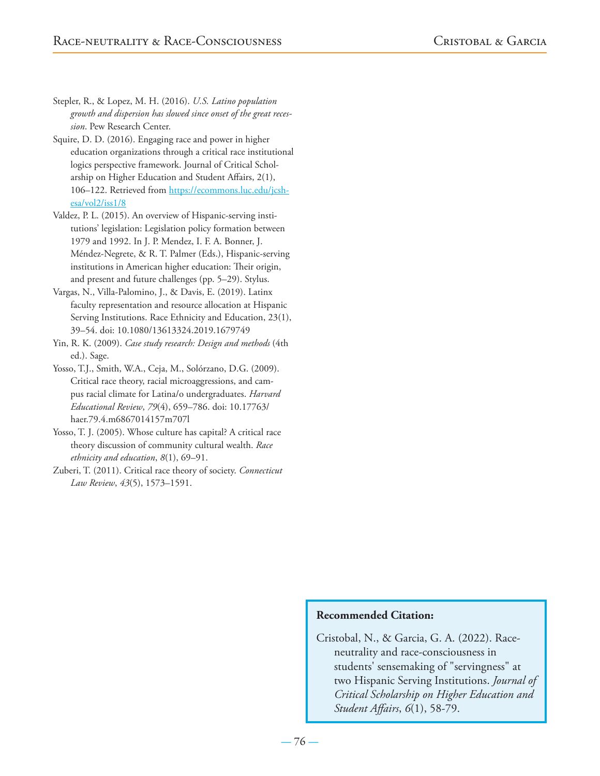Stepler, R., & Lopez, M. H. (2016). *U.S. Latino population growth and dispersion has slowed since onset of the great recession*. Pew Research Center.

Squire, D. D. (2016). Engaging race and power in higher education organizations through a critical race institutional logics perspective framework. Journal of Critical Scholarship on Higher Education and Student Affairs, 2(1), 106–122. Retrieved from https://ecommons.luc.edu/jcshesa/vol2/iss1/8

Valdez, P. L. (2015). An overview of Hispanic-serving institutions' legislation: Legislation policy formation between 1979 and 1992. In J. P. Mendez, I. F. A. Bonner, J. Méndez-Negrete, & R. T. Palmer (Eds.), Hispanic-serving institutions in American higher education: Their origin, and present and future challenges (pp. 5–29). Stylus.

Vargas, N., Villa-Palomino, J., & Davis, E. (2019). Latinx faculty representation and resource allocation at Hispanic Serving Institutions. Race Ethnicity and Education, 23(1), 39–54. doi: 10.1080/13613324.2019.1679749

Yin, R. K. (2009). *Case study research: Design and methods* (4th ed.). Sage.

Yosso, T.J., Smith, W.A., Ceja, M., Solórzano, D.G. (2009). Critical race theory, racial microaggressions, and campus racial climate for Latina/o undergraduates. *Harvard Educational Review*, *79*(4), 659–786. doi: 10.17763/ haer.79.4.m6867014157m707l

Yosso, T. J. (2005). Whose culture has capital? A critical race theory discussion of community cultural wealth. *Race ethnicity and education*, *8*(1), 69–91.

Zuberi, T. (2011). Critical race theory of society. *Connecticut Law Review*, *43*(5), 1573–1591.

# **Recommended Citation:**

Cristobal, N., & Garcia, G. A. (2022). Raceneutrality and race-consciousness in students' sensemaking of "servingness" at two Hispanic Serving Institutions. *Journal of Critical Scholarship on Higher Education and Student Affairs*, *6*(1), 58-79.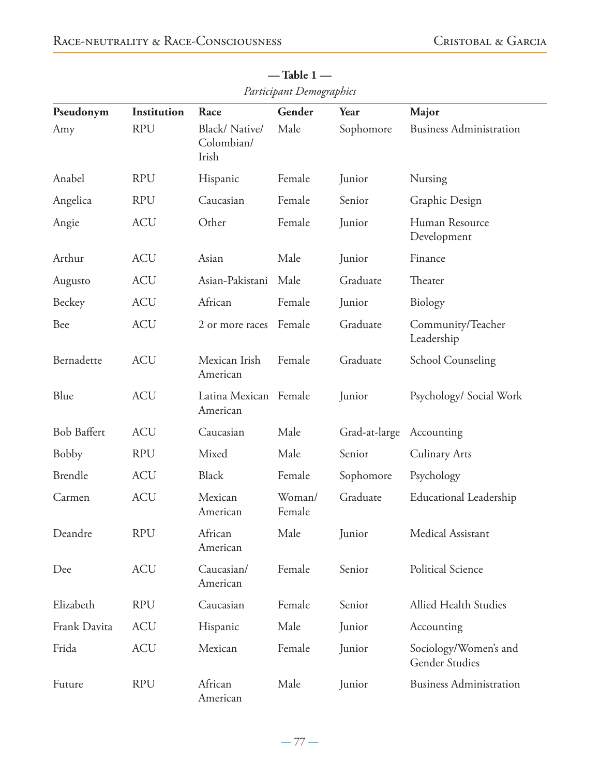| Pseudonym          | Institution | Race                                 | Gender           | Year          | Major                                   |
|--------------------|-------------|--------------------------------------|------------------|---------------|-----------------------------------------|
| Amy                | <b>RPU</b>  | Black/Native/<br>Colombian/<br>Irish | Male             | Sophomore     | <b>Business Administration</b>          |
| Anabel             | <b>RPU</b>  | Hispanic                             | Female           | Junior        | Nursing                                 |
| Angelica           | <b>RPU</b>  | Caucasian                            | Female           | Senior        | Graphic Design                          |
| Angie              | <b>ACU</b>  | Other                                | Female           | Junior        | Human Resource<br>Development           |
| Arthur             | <b>ACU</b>  | Asian                                | Male             | Junior        | Finance                                 |
| Augusto            | <b>ACU</b>  | Asian-Pakistani                      | Male             | Graduate      | Theater                                 |
| Beckey             | <b>ACU</b>  | African                              | Female           | Junior        | Biology                                 |
| Bee                | <b>ACU</b>  | 2 or more races                      | Female           | Graduate      | Community/Teacher<br>Leadership         |
| Bernadette         | <b>ACU</b>  | Mexican Irish<br>American            | Female           | Graduate      | <b>School Counseling</b>                |
| Blue               | <b>ACU</b>  | Latina Mexican Female<br>American    |                  | Junior        | Psychology/ Social Work                 |
| <b>Bob Baffert</b> | <b>ACU</b>  | Caucasian                            | Male             | Grad-at-large | Accounting                              |
| <b>Bobby</b>       | <b>RPU</b>  | Mixed                                | Male             | Senior        | <b>Culinary Arts</b>                    |
| <b>Brendle</b>     | <b>ACU</b>  | <b>Black</b>                         | Female           | Sophomore     | Psychology                              |
| Carmen             | <b>ACU</b>  | Mexican<br>American                  | Woman/<br>Female | Graduate      | <b>Educational Leadership</b>           |
| Deandre            | <b>RPU</b>  | African<br>American                  | Male             | Junior        | Medical Assistant                       |
| Dee                | <b>ACU</b>  | Caucasian/<br>American               | Female           | Senior        | Political Science                       |
| Elizabeth          | <b>RPU</b>  | Caucasian                            | Female           | Senior        | Allied Health Studies                   |
| Frank Davita       | <b>ACU</b>  | Hispanic                             | Male             | Junior        | Accounting                              |
| Frida              | <b>ACU</b>  | Mexican                              | Female           | Junior        | Sociology/Women's and<br>Gender Studies |
| Future             | <b>RPU</b>  | African<br>American                  | Male             | Junior        | <b>Business Administration</b>          |

**— Table 1 —** *Participant Demographics*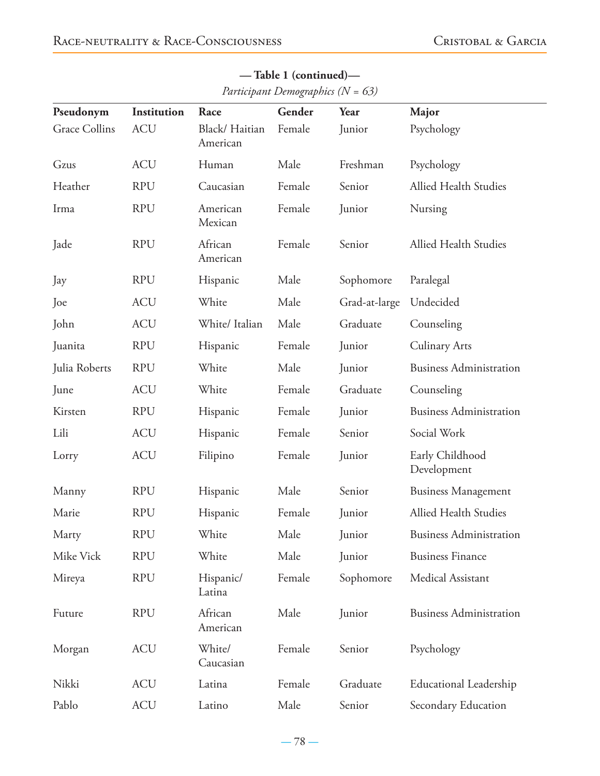| Pseudonym     | Institution | Race                      | Gender | Year          | Major                          |
|---------------|-------------|---------------------------|--------|---------------|--------------------------------|
| Grace Collins | <b>ACU</b>  | Black/Haitian<br>American | Female | Junior        | Psychology                     |
| Gzus          | <b>ACU</b>  | Human                     | Male   | Freshman      | Psychology                     |
| Heather       | <b>RPU</b>  | Caucasian                 | Female | Senior        | Allied Health Studies          |
| Irma          | <b>RPU</b>  | American<br>Mexican       | Female | Junior        | Nursing                        |
| Jade          | <b>RPU</b>  | African<br>American       | Female | Senior        | Allied Health Studies          |
| Jay           | <b>RPU</b>  | Hispanic                  | Male   | Sophomore     | Paralegal                      |
| Joe           | <b>ACU</b>  | White                     | Male   | Grad-at-large | Undecided                      |
| John          | <b>ACU</b>  | White/Italian             | Male   | Graduate      | Counseling                     |
| Juanita       | <b>RPU</b>  | Hispanic                  | Female | Junior        | <b>Culinary Arts</b>           |
| Julia Roberts | <b>RPU</b>  | White                     | Male   | Junior        | <b>Business Administration</b> |
| June          | <b>ACU</b>  | White                     | Female | Graduate      | Counseling                     |
| Kirsten       | <b>RPU</b>  | Hispanic                  | Female | Junior        | <b>Business Administration</b> |
| Lili          | <b>ACU</b>  | Hispanic                  | Female | Senior        | Social Work                    |
| Lorry         | <b>ACU</b>  | Filipino                  | Female | Junior        | Early Childhood<br>Development |
| Manny         | <b>RPU</b>  | Hispanic                  | Male   | Senior        | <b>Business Management</b>     |
| Marie         | <b>RPU</b>  | Hispanic                  | Female | Junior        | Allied Health Studies          |
| Marty         | <b>RPU</b>  | White                     | Male   | Junior        | <b>Business Administration</b> |
| Mike Vick     | <b>RPU</b>  | White                     | Male   | Junior        | <b>Business Finance</b>        |
| Mireya        | <b>RPU</b>  | Hispanic/<br>Latina       | Female | Sophomore     | Medical Assistant              |
| Future        | <b>RPU</b>  | African<br>American       | Male   | Junior        | <b>Business Administration</b> |
| Morgan        | <b>ACU</b>  | White/<br>Caucasian       | Female | Senior        | Psychology                     |
| Nikki         | <b>ACU</b>  | Latina                    | Female | Graduate      | <b>Educational Leadership</b>  |
| Pablo         | <b>ACU</b>  | Latino                    | Male   | Senior        | Secondary Education            |

**— Table 1 (continued)—** *Participant Demographics (N = 63)*